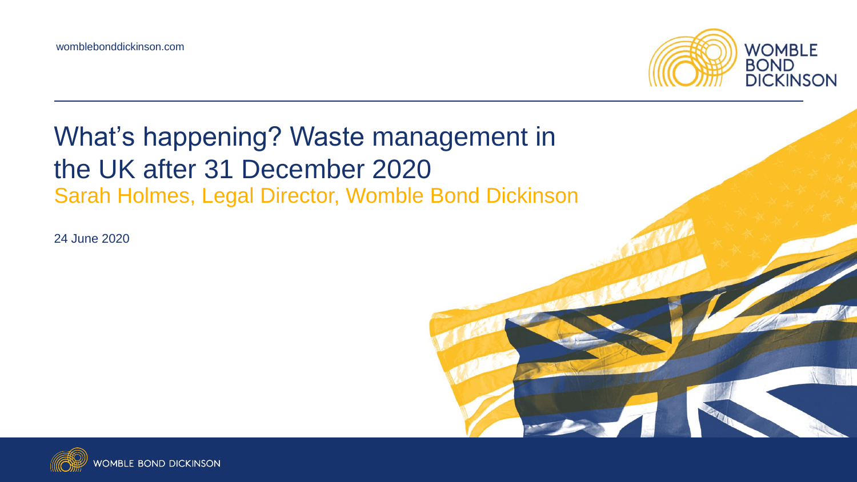

#### What's happening? Waste management in the UK after 31 December 2020 Sarah Holmes, Legal Director, Womble Bond Dickinson

24 June 2020

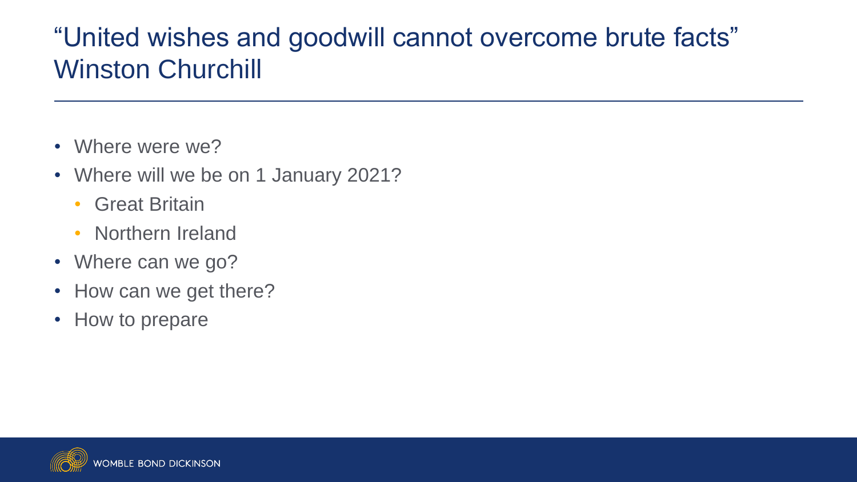## "United wishes and goodwill cannot overcome brute facts" Winston Churchill

- Where were we?
- Where will we be on 1 January 2021?
	- Great Britain
	- Northern Ireland
- Where can we go?
- How can we get there?
- How to prepare

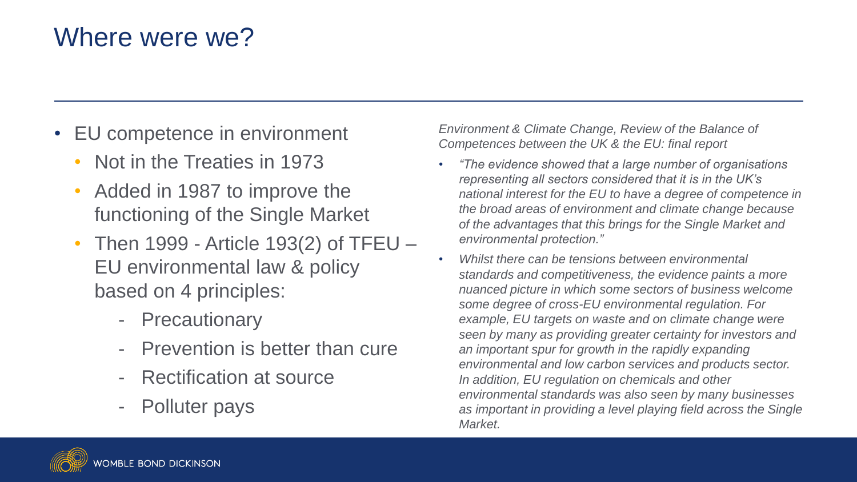## Where were we?

- EU competence in environment
	- Not in the Treaties in 1973
	- Added in 1987 to improve the functioning of the Single Market
	- Then 1999 Article 193(2) of TFEU EU environmental law & policy based on 4 principles:
		- **Precautionary**
		- Prevention is better than cure
		- **Rectification at source**
		- Polluter pays

*Environment & Climate Change, Review of the Balance of Competences between the UK & the EU: final report* 

- *"The evidence showed that a large number of organisations representing all sectors considered that it is in the UK's national interest for the EU to have a degree of competence in the broad areas of environment and climate change because of the advantages that this brings for the Single Market and environmental protection."*
- *Whilst there can be tensions between environmental standards and competitiveness, the evidence paints a more nuanced picture in which some sectors of business welcome some degree of cross-EU environmental regulation. For example, EU targets on waste and on climate change were seen by many as providing greater certainty for investors and an important spur for growth in the rapidly expanding environmental and low carbon services and products sector. In addition, EU regulation on chemicals and other environmental standards was also seen by many businesses as important in providing a level playing field across the Single Market.*

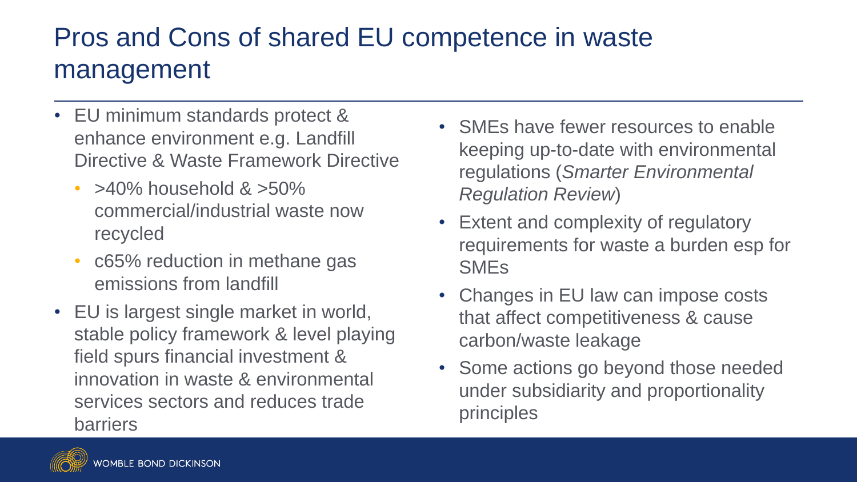## Pros and Cons of shared EU competence in waste management

- EU minimum standards protect & enhance environment e.g. Landfill Directive & Waste Framework Directive
	- $>40\%$  household  $>50\%$ commercial/industrial waste now recycled
	- c65% reduction in methane gas emissions from landfill
- EU is largest single market in world, stable policy framework & level playing field spurs financial investment & innovation in waste & environmental services sectors and reduces trade barriers
- SMEs have fewer resources to enable keeping up-to-date with environmental regulations (*Smarter Environmental Regulation Review*)
- Extent and complexity of regulatory requirements for waste a burden esp for SMEs
- Changes in EU law can impose costs that affect competitiveness & cause carbon/waste leakage
- Some actions go beyond those needed under subsidiarity and proportionality principles

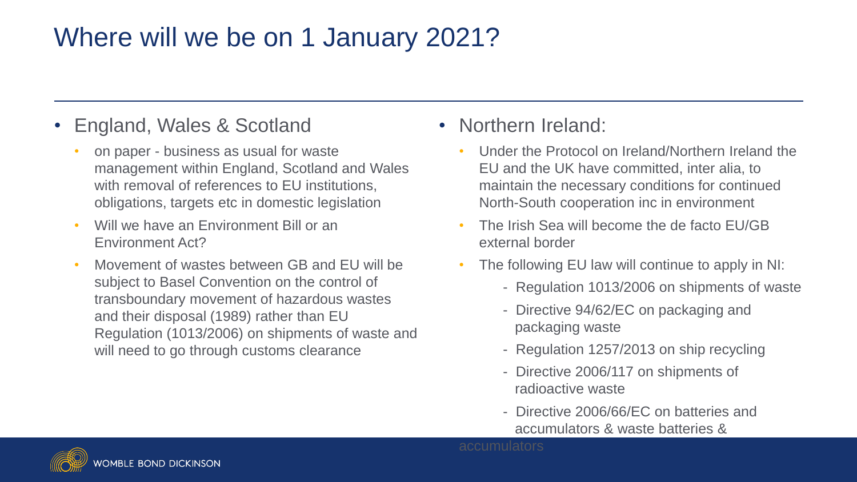## Where will we be on 1 January 2021?

#### • England, Wales & Scotland

- on paper business as usual for waste management within England, Scotland and Wales with removal of references to EU institutions, obligations, targets etc in domestic legislation
- Will we have an Environment Bill or an Environment Act?
- Movement of wastes between GB and EU will be subject to Basel Convention on the control of transboundary movement of hazardous wastes and their disposal (1989) rather than EU Regulation (1013/2006) on shipments of waste and will need to go through customs clearance

#### • Northern Ireland:

- Under the Protocol on Ireland/Northern Ireland the EU and the UK have committed, inter alia, to maintain the necessary conditions for continued North-South cooperation inc in environment
- The Irish Sea will become the de facto EU/GB external border
- The following EU law will continue to apply in NI:
	- Regulation 1013/2006 on shipments of waste
	- Directive 94/62/EC on packaging and packaging waste
	- Regulation 1257/2013 on ship recycling
	- Directive 2006/117 on shipments of radioactive waste
	- Directive 2006/66/EC on batteries and accumulators & waste batteries &



**ABLE BOND DICKINSON**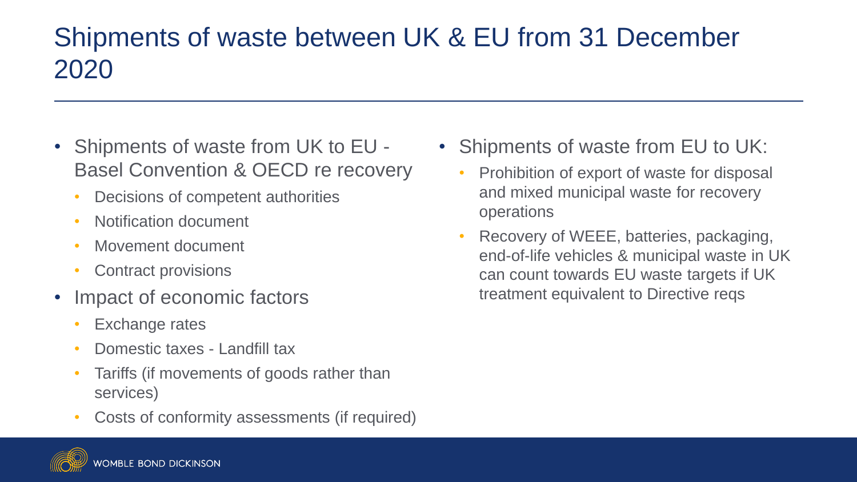## Shipments of waste between UK & EU from 31 December 2020

- Shipments of waste from UK to EU Basel Convention & OECD re recovery
	- Decisions of competent authorities
	- Notification document
	- Movement document
	- Contract provisions
- Impact of economic factors
	- Exchange rates
	- Domestic taxes Landfill tax
	- Tariffs (if movements of goods rather than services)
	- Costs of conformity assessments (if required)



- Shipments of waste from EU to UK:
	- Prohibition of export of waste for disposal and mixed municipal waste for recovery operations
	- Recovery of WEEE, batteries, packaging, end-of-life vehicles & municipal waste in UK can count towards EU waste targets if UK treatment equivalent to Directive reqs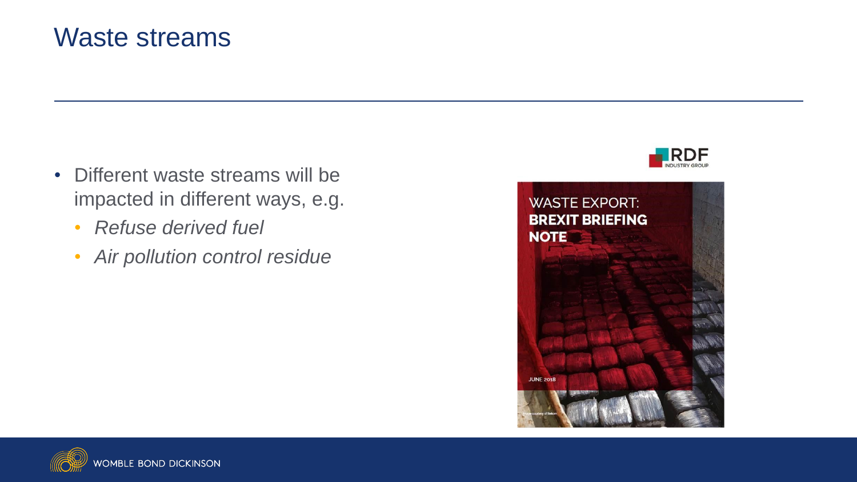#### Waste streams

- Different waste streams will be impacted in different ways, e.g.
	- *Refuse derived fuel*
	- *Air pollution control residue*





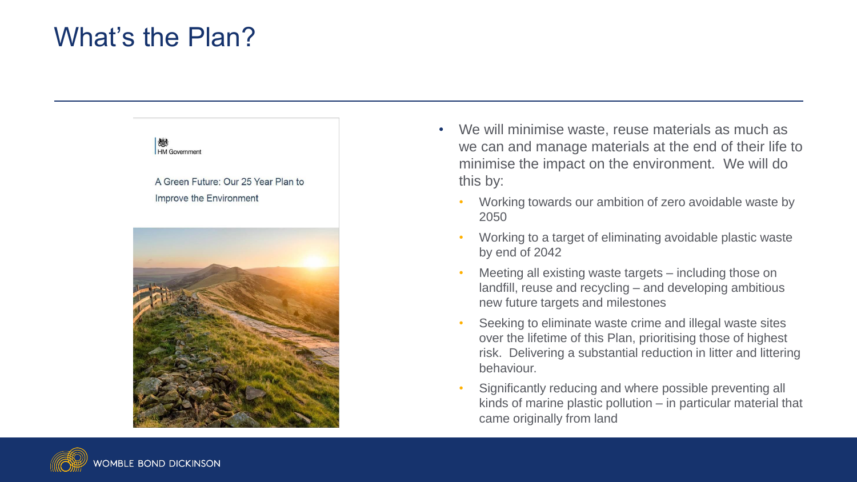### What's the Plan?



- We will minimise waste, reuse materials as much as we can and manage materials at the end of their life to minimise the impact on the environment. We will do this by:
	- Working towards our ambition of zero avoidable waste by 2050
	- Working to a target of eliminating avoidable plastic waste by end of 2042
	- Meeting all existing waste targets including those on landfill, reuse and recycling – and developing ambitious new future targets and milestones
	- Seeking to eliminate waste crime and illegal waste sites over the lifetime of this Plan, prioritising those of highest risk. Delivering a substantial reduction in litter and littering behaviour.
	- Significantly reducing and where possible preventing all kinds of marine plastic pollution – in particular material that came originally from land

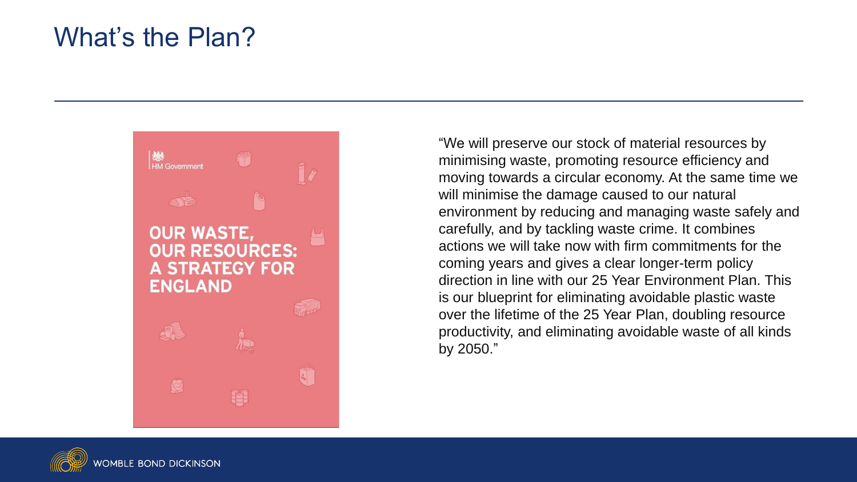#### What's the Plan?



"We will preserve our stock of material resources by minimising waste, promoting resource efficiency and moving towards a circular economy. At the same time we will minimise the damage caused to our natural environment by reducing and managing waste safely and carefully, and by tackling waste crime. It combines actions we will take now with firm commitments for the coming years and gives a clear longer-term policy direction in line with our 25 Year Environment Plan. This is our blueprint for eliminating avoidable plastic waste over the lifetime of the 25 Year Plan, doubling resource productivity, and eliminating avoidable waste of all kinds by 2050."

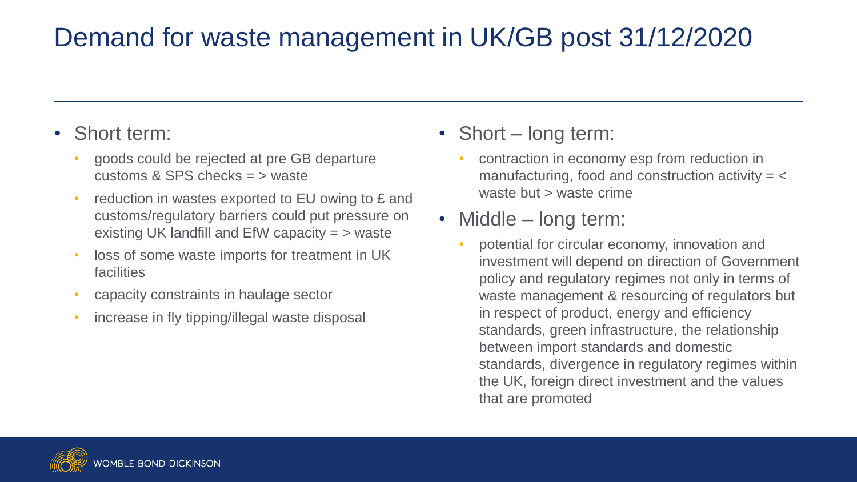## Demand for waste management in UK/GB post 31/12/2020

#### • Short term:

- goods could be rejected at pre GB departure customs & SPS checks = > waste
- reduction in wastes exported to EU owing to £ and customs/regulatory barriers could put pressure on existing UK landfill and EfW capacity = > waste
- loss of some waste imports for treatment in UK facilities
- capacity constraints in haulage sector
- increase in fly tipping/illegal waste disposal

• Short – long term:

• contraction in economy esp from reduction in manufacturing, food and construction activity  $=$   $<$ waste but > waste crime

#### • Middle – long term:

• potential for circular economy, innovation and investment will depend on direction of Government policy and regulatory regimes not only in terms of waste management & resourcing of regulators but in respect of product, energy and efficiency standards, green infrastructure, the relationship between import standards and domestic standards, divergence in regulatory regimes within the UK, foreign direct investment and the values that are promoted

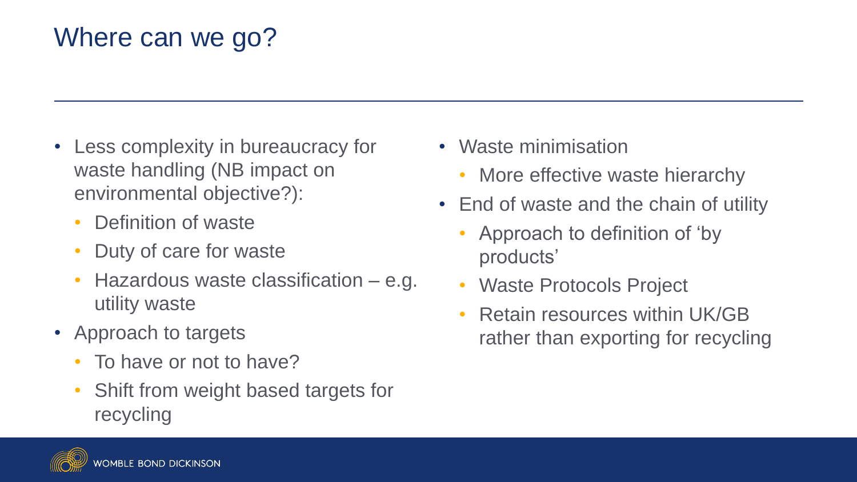# Where can we go?

- Less complexity in bureaucracy for waste handling (NB impact on environmental objective?):
	- Definition of waste
	- Duty of care for waste
	- Hazardous waste classification e.g. utility waste
- Approach to targets
	- To have or not to have?
	- Shift from weight based targets for recycling
- Waste minimisation
	- More effective waste hierarchy
- End of waste and the chain of utility
	- Approach to definition of 'by products'
	- Waste Protocols Project
	- Retain resources within UK/GB rather than exporting for recycling

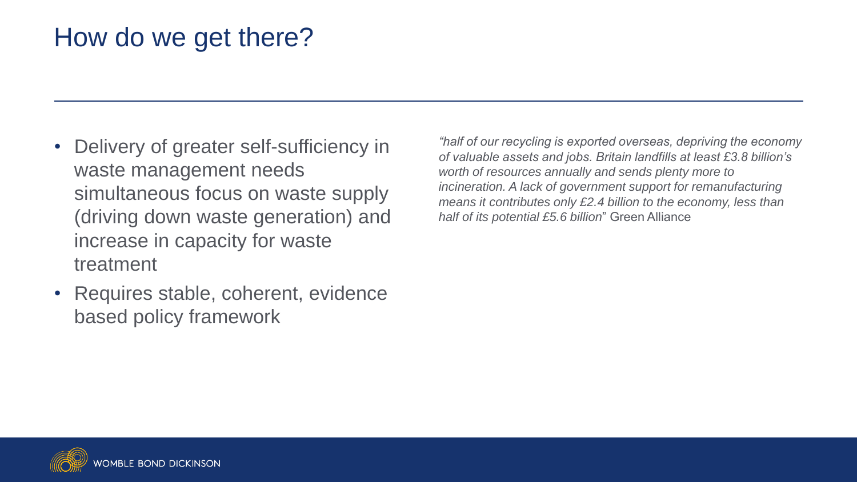## How do we get there?

- Delivery of greater self-sufficiency in waste management needs simultaneous focus on waste supply (driving down waste generation) and increase in capacity for waste treatment
- Requires stable, coherent, evidence based policy framework

*"half of our recycling is exported overseas, depriving the economy of valuable assets and jobs. Britain landfills at least £3.8 billion's worth of resources annually and sends plenty more to incineration. A lack of government support for remanufacturing means it contributes only £2.4 billion to the economy, less than half of its potential £5.6 billion*" Green Alliance

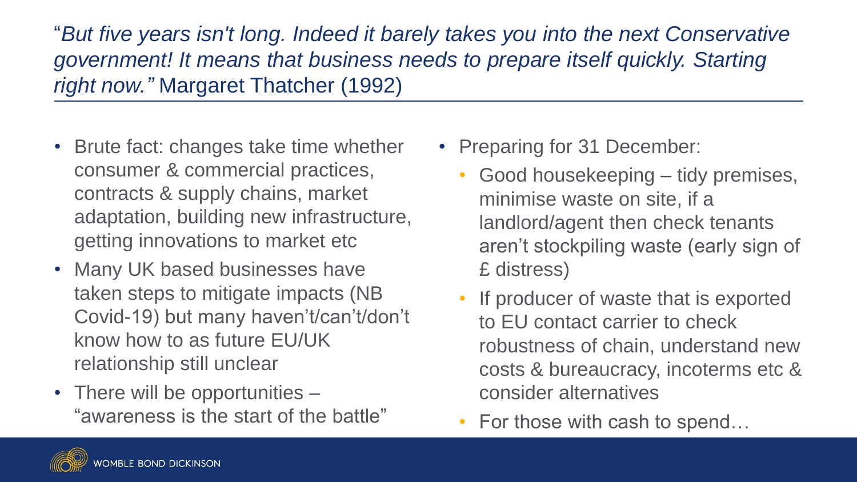"*But five years isn't long. Indeed it barely takes you into the next Conservative government! It means that business needs to prepare itself quickly. Starting right now."* Margaret Thatcher (1992)

- Brute fact: changes take time whether consumer & commercial practices, contracts & supply chains, market adaptation, building new infrastructure, getting innovations to market etc
- Many UK based businesses have taken steps to mitigate impacts (NB Covid-19) but many haven't/can't/don't know how to as future EU/UK relationship still unclear
- There will be opportunities "awareness is the start of the battle"
- Preparing for 31 December:
	- Good housekeeping tidy premises, minimise waste on site, if a landlord/agent then check tenants aren't stockpiling waste (early sign of £ distress)
	- If producer of waste that is exported to EU contact carrier to check robustness of chain, understand new costs & bureaucracy, incoterms etc & consider alternatives
	- For those with cash to spend...

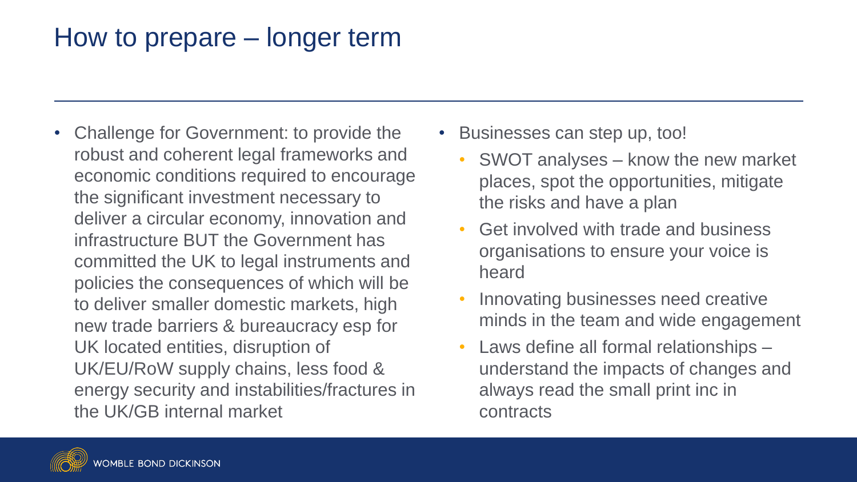## How to prepare – longer term

- Challenge for Government: to provide the robust and coherent legal frameworks and economic conditions required to encourage the significant investment necessary to deliver a circular economy, innovation and infrastructure BUT the Government has committed the UK to legal instruments and policies the consequences of which will be to deliver smaller domestic markets, high new trade barriers & bureaucracy esp for UK located entities, disruption of UK/EU/RoW supply chains, less food & energy security and instabilities/fractures in the UK/GB internal market
- Businesses can step up, too!
	- SWOT analyses know the new market places, spot the opportunities, mitigate the risks and have a plan
	- Get involved with trade and business organisations to ensure your voice is heard
	- Innovating businesses need creative minds in the team and wide engagement
	- Laws define all formal relationships understand the impacts of changes and always read the small print inc in contracts